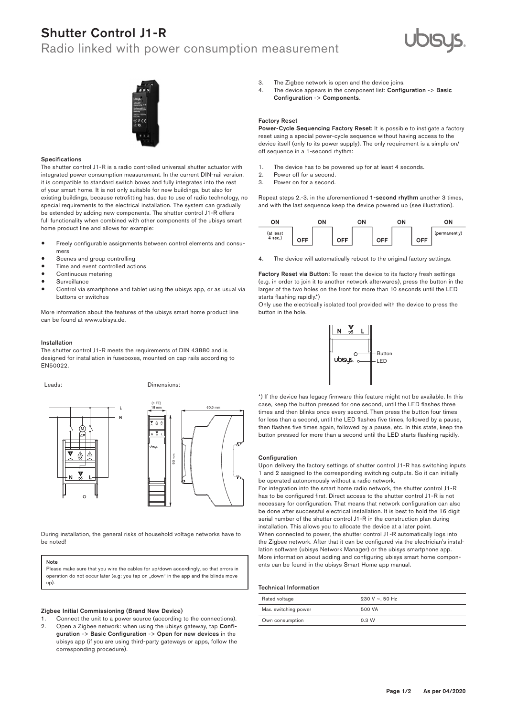## Shutter Control J1-R

### Radio linked with power consumption measurement





### Specifications

The shutter control J1-R is a radio controlled universal shutter actuator with integrated power consumption measurement. In the current DIN-rail version, it is compatible to standard switch boxes and fully integrates into the rest of your smart home. It is not only suitable for new buildings, but also for existing buildings, because retrofitting has, due to use of radio technology, no special requirements to the electrical installation. The system can gradually be extended by adding new components. The shutter control J1-R offers full functionality when combined with other components of the ubisys smart home product line and allows for example:

- Freely configurable assignments between control elements and consumers
- Scenes and group controlling
- Time and event controlled actions
- Continuous metering
- **Surveillance**
- Control via smartphone and tablet using the ubisys app, or as usual via buttons or switches

More information about the features of the ubisys smart home product line can be found at www.ubisys.de.

### Installation

The shutter control J1-R meets the requirements of DIN 43880 and is designed for installation in fuseboxes, mounted on cap rails according to EN50022.  $\overline{C}$ 

Leads: Dimensions:





During installation, the general risks of household voltage networks have to be noted!

### Note

Please make sure that you wire the cables for up/down accordingly, so that errors in operation do not occur later (e.g: you tap on  $_{\rm d}$  down" in the app and the blinds move up).

### Zigbee Initial Commissioning (Brand New Device)

Connect the unit to a power source (according to the connections). 2. Open a Zigbee network: when using the ubisys gateway, tap Configuration -> Basic Configuration -> Open for new devices in the ubisys app (if you are using third-party gateways or apps, follow the corresponding procedure).

- 3. The Zigbee network is open and the device joins.
- 4. The device appears in the component list: Configuration -> Basic Configuration -> Components.

### Factory Reset

Power-Cycle Sequencing Factory Reset: It is possible to instigate a factory reset using a special power-cycle sequence without having access to the device itself (only to its power supply). The only requirement is a simple on/ off sequence in a 1-second rhythm:

- 1. The device has to be powered up for at least 4 seconds.<br>2. Power off for a second.
- Power off for a second.
- 3. Power on for a second.

Repeat steps 2.-3. in the aforementioned 1-second rhythm another 3 times, and with the last sequence keep the device powered up (see illustration).



4. The device will automatically reboot to the original factory settings.

Factory Reset via Button: To reset the device to its factory fresh settings (e.g. in order to join it to another network afterwards), press the button in the larger of the two holes on the front for more than 10 seconds until the LED starts flashing rapidly.\*)

Only use the electrically isolated tool provided with the device to press the button in the hole.



times and then blinks once every second. Then press the button four times case, keep the button pressed for one second, until the LED flashes three \*) If the device has legacy firmware this feature might not be available. In this for less than a second, until the LED flashes five times, followed by a pause, then flashes five times again, followed by a pause, etc. In this state, keep the button pressed for more than a second until the LED starts flashing rapidly.

### Configuration

Upon delivery the factory settings of shutter control J1-R has switching inputs 1 and 2 assigned to the corresponding switching outputs. So it can initially be operated autonomously without a radio network.

For integration into the smart home radio network, the shutter control J1-R has to be configured first. Direct access to the shutter control J1-R is not necessary for configuration. That means that network configuration can also be done after successful electrical installation. It is best to hold the 16 digit serial number of the shutter control 11-R in the construction plan during installation. This allows you to allocate the device at a later point. When connected to power, the shutter control J1-R automatically logs into the Zigbee network. After that it can be configured via the electrician's installation software (ubisys Network Manager) or the ubisys smartphone app. More information about adding and configuring ubisys smart home components can be found in the ubisys Smart Home app manual.

### Technical Information

| Rated voltage        | $230 V \sim 50 Hz$ |
|----------------------|--------------------|
| Max. switching power | 500 VA             |
| Own consumption      | 0.3 W              |